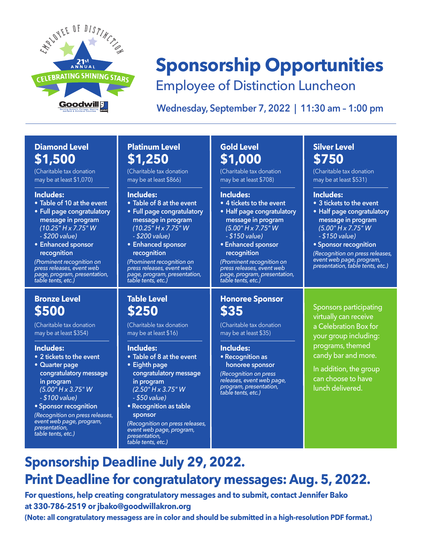

# **Sponsorship Opportunities**

Employee of Distinction Luncheon

**Wednesday, September 7, 2022 | 11:30 am – 1:00 pm**

## **Diamond Level \$1,500**

(Charitable tax donation may be at least \$1,070)

### **Includes:**

- **• Table of 10 at the event**
- **• Full page congratulatory message in program** *(10.25" H x 7.75" W - \$200 value)*
- **• Enhanced sponsor recognition**

*(Prominent recognition on press releases, event web page, program, presentation, table tents, etc.)*

## **Bronze Level \$500**

(Charitable tax donation may be at least \$354)

### **Includes:**

- **• 2 tickets to the event**
- **• Quarter page congratulatory message in program** *(5.00" H x 3.75" W - \$100 value)*
- **Sponsor recognition**

*(Recognition on press releases, event web page, program, presentation, table tents, etc.)*

### **Platinum Level \$1,250**

(Charitable tax donation may be at least \$866)

### **Includes:**

- **• Table of 8 at the event • Full page congratulatory**
- **message in program** *(10.25" H x 7.75" W - \$200 value)*
- **• Enhanced sponsor recognition**

*(Prominent recognition on press releases, event web page, program, presentation, table tents, etc.)*

**Table Level \$250**

**Includes:**

**• Eighth page**

**in program** *(2.50" H x 3.75" W - \$50 value)* **• Recognition as table**

**sponsor**

*presentation, table tents, etc.)*

(Charitable tax donation may be at least \$16)

**• Table of 8 at the event**

**congratulatory message** 

*(Recognition on press releases, event web page, program,* 

## **Gold Level \$1,000**

(Charitable tax donation may be at least \$708)

### **Includes:**

- **• 4 tickets to the event**
- **• Half page congratulatory message in program** *(5.00" H x 7.75" W - \$150 value)*
- **Enhanced sponsor recognition**

*(Prominent recognition on press releases, event web page, program, presentation, table tents, etc.)*

### **Honoree Sponsor \$35**

(Charitable tax donation may be at least \$35)

### **Includes:**

**• Recognition as honoree sponsor**

*(Recognition on press releases, event web page, program, presentation, table tents, etc.)*

## **Silver Level \$750**

(Charitable tax donation may be at least \$531)

### **Includes:**

- **• 3 tickets to the event**
- **• Half page congratulatory message in program** *(5.00" H x 7.75" W - \$150 value)*
- **Sponsor recognition**

*(Recognition on press releases, event web page, program, presentation, table tents, etc.)*

Sponsors participating virtually can receive a Celebration Box for your group including: programs, themed candy bar and more.

In addition, the group can choose to have lunch delivered.

## **Sponsorship Deadline July 29, 2022. Print Deadline for congratulatory messages: Aug. 5, 2022.**

**For questions, help creating congratulatory messages and to submit, contact Jennifer Bako at 330-786-2519 or jbako@goodwillakron.org**

**(Note: all congratulatory messagess are in color and should be submitted in a high-resolution PDF format.)**